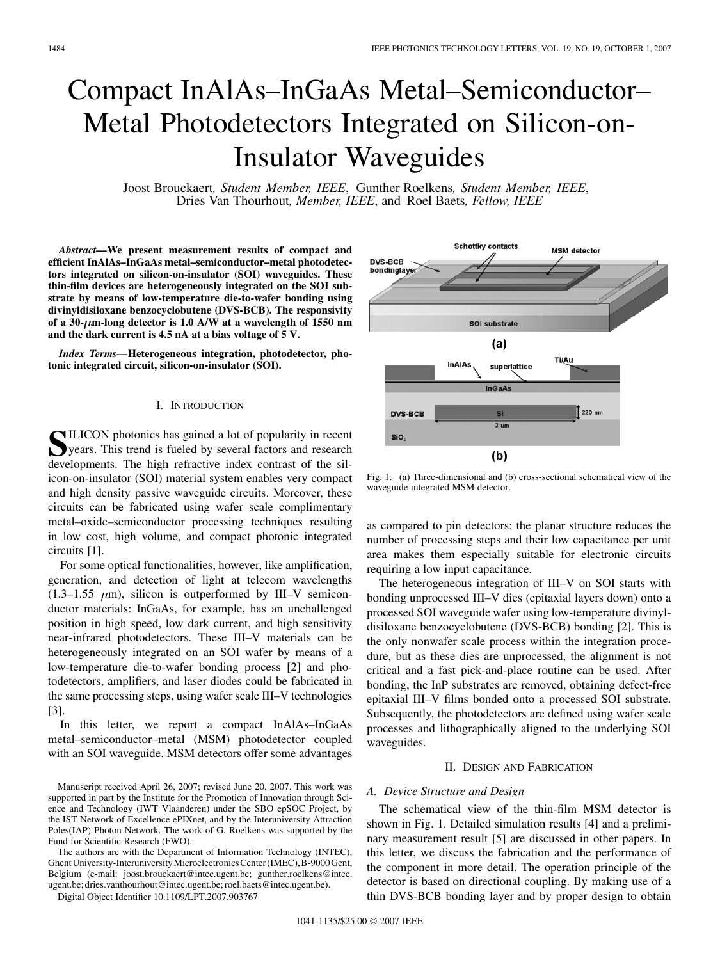# Compact InAlAs–InGaAs Metal–Semiconductor– Metal Photodetectors Integrated on Silicon-on-Insulator Waveguides

Joost Brouckaert*, Student Member, IEEE*, Gunther Roelkens*, Student Member, IEEE*, Dries Van Thourhout*, Member, IEEE*, and Roel Baets*, Fellow, IEEE*

*Abstract—***We present measurement results of compact and efficient InAlAs–InGaAs metal–semiconductor–metal photodetectors integrated on silicon-on-insulator (SOI) waveguides. These thin-film devices are heterogeneously integrated on the SOI substrate by means of low-temperature die-to-wafer bonding using divinyldisiloxane benzocyclobutene (DVS-BCB). The responsivity of a 30- m-long detector is 1.0 A/W at a wavelength of 1550 nm and the dark current is 4.5 nA at a bias voltage of 5 V.**

*Index Terms—***Heterogeneous integration, photodetector, photonic integrated circuit, silicon-on-insulator (SOI).**

# I. INTRODUCTION

SILICON photonics has gained a lot of popularity in recent<br>years. This trend is fueled by several factors and research<br>developments. The high refrective index contrast of the cil developments. The high refractive index contrast of the silicon-on-insulator (SOI) material system enables very compact and high density passive waveguide circuits. Moreover, these circuits can be fabricated using wafer scale complimentary metal–oxide–semiconductor processing techniques resulting in low cost, high volume, and compact photonic integrated circuits [1].

For some optical functionalities, however, like amplification, generation, and detection of light at telecom wavelengths  $(1.3-1.55 \mu m)$ , silicon is outperformed by III–V semiconductor materials: InGaAs, for example, has an unchallenged position in high speed, low dark current, and high sensitivity near-infrared photodetectors. These III–V materials can be heterogeneously integrated on an SOI wafer by means of a low-temperature die-to-wafer bonding process [2] and photodetectors, amplifiers, and laser diodes could be fabricated in the same processing steps, using wafer scale III–V technologies [3].

In this letter, we report a compact InAlAs–InGaAs metal–semiconductor–metal (MSM) photodetector coupled with an SOI waveguide. MSM detectors offer some advantages

The authors are with the Department of Information Technology (INTEC), Ghent University-Interuniversity Microelectronics Center (IMEC), B-9000 Gent, Belgium (e-mail: joost.brouckaert@intec.ugent.be; gunther.roelkens@intec. ugent.be; dries.vanthourhout@intec.ugent.be; roel.baets@intec.ugent.be).

Digital Object Identifier 10.1109/LPT.2007.903767



Fig. 1. (a) Three-dimensional and (b) cross-sectional schematical view of the waveguide integrated MSM detector.

as compared to pin detectors: the planar structure reduces the number of processing steps and their low capacitance per unit area makes them especially suitable for electronic circuits requiring a low input capacitance.

The heterogeneous integration of III–V on SOI starts with bonding unprocessed III–V dies (epitaxial layers down) onto a processed SOI waveguide wafer using low-temperature divinyldisiloxane benzocyclobutene (DVS-BCB) bonding [2]. This is the only nonwafer scale process within the integration procedure, but as these dies are unprocessed, the alignment is not critical and a fast pick-and-place routine can be used. After bonding, the InP substrates are removed, obtaining defect-free epitaxial III–V films bonded onto a processed SOI substrate. Subsequently, the photodetectors are defined using wafer scale processes and lithographically aligned to the underlying SOI waveguides.

# II. DESIGN AND FABRICATION

# *A. Device Structure and Design*

The schematical view of the thin-film MSM detector is shown in Fig. 1. Detailed simulation results [4] and a preliminary measurement result [5] are discussed in other papers. In this letter, we discuss the fabrication and the performance of the component in more detail. The operation principle of the detector is based on directional coupling. By making use of a thin DVS-BCB bonding layer and by proper design to obtain

Manuscript received April 26, 2007; revised June 20, 2007. This work was supported in part by the Institute for the Promotion of Innovation through Science and Technology (IWT Vlaanderen) under the SBO epSOC Project, by the IST Network of Excellence ePIXnet, and by the Interuniversity Attraction Poles(IAP)-Photon Network. The work of G. Roelkens was supported by the Fund for Scientific Research (FWO).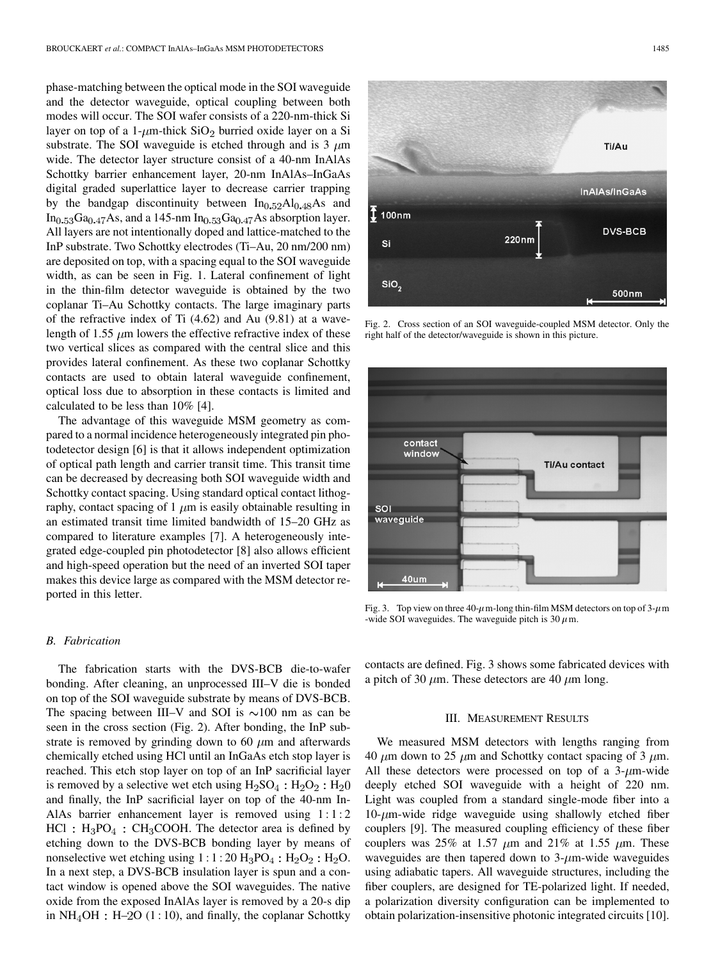phase-matching between the optical mode in the SOI waveguide and the detector waveguide, optical coupling between both modes will occur. The SOI wafer consists of a 220-nm-thick Si layer on top of a 1- $\mu$ m-thick SiO<sub>2</sub> burried oxide layer on a Si substrate. The SOI waveguide is etched through and is 3  $\mu$ m wide. The detector layer structure consist of a 40-nm InAlAs Schottky barrier enhancement layer, 20-nm InAlAs–InGaAs digital graded superlattice layer to decrease carrier trapping by the bandgap discontinuity between  $In<sub>0.52</sub>Al<sub>0.48</sub>As$  and  $In<sub>0.53</sub>Ga<sub>0.47</sub>As, and a 145-nm  $In<sub>0.53</sub>Ga<sub>0.47</sub>As absorption layer.$$ All layers are not intentionally doped and lattice-matched to the InP substrate. Two Schottky electrodes (Ti–Au, 20 nm/200 nm) are deposited on top, with a spacing equal to the SOI waveguide width, as can be seen in Fig. 1. Lateral confinement of light in the thin-film detector waveguide is obtained by the two coplanar Ti–Au Schottky contacts. The large imaginary parts of the refractive index of Ti (4.62) and Au (9.81) at a wavelength of 1.55  $\mu$ m lowers the effective refractive index of these two vertical slices as compared with the central slice and this provides lateral confinement. As these two coplanar Schottky contacts are used to obtain lateral waveguide confinement, optical loss due to absorption in these contacts is limited and calculated to be less than 10% [4].

The advantage of this waveguide MSM geometry as compared to a normal incidence heterogeneously integrated pin photodetector design [6] is that it allows independent optimization of optical path length and carrier transit time. This transit time can be decreased by decreasing both SOI waveguide width and Schottky contact spacing. Using standard optical contact lithography, contact spacing of 1  $\mu$ m is easily obtainable resulting in an estimated transit time limited bandwidth of 15–20 GHz as compared to literature examples [7]. A heterogeneously integrated edge-coupled pin photodetector [8] also allows efficient and high-speed operation but the need of an inverted SOI taper makes this device large as compared with the MSM detector reported in this letter.

# *B. Fabrication*

The fabrication starts with the DVS-BCB die-to-wafer bonding. After cleaning, an unprocessed III–V die is bonded on top of the SOI waveguide substrate by means of DVS-BCB. The spacing between III–V and SOI is  $\sim$ 100 nm as can be seen in the cross section (Fig. 2). After bonding, the InP substrate is removed by grinding down to 60  $\mu$ m and afterwards chemically etched using HCl until an InGaAs etch stop layer is reached. This etch stop layer on top of an InP sacrificial layer is removed by a selective wet etch using  $H_2SO_4$ :  $H_2O_2$ :  $H_2O$ and finally, the InP sacrificial layer on top of the 40-nm In-AlAs barrier enhancement layer is removed using 1:1:2  $HCl : H_3PO_4 : CH_3COOH$ . The detector area is defined by etching down to the DVS-BCB bonding layer by means of nonselective wet etching using  $1:1:20 \text{ H}_3\text{PO}_4: \text{H}_2\text{O}_2: \text{H}_2\text{O}.$ In a next step, a DVS-BCB insulation layer is spun and a contact window is opened above the SOI waveguides. The native oxide from the exposed InAlAs layer is removed by a 20-s dip in  $NH_4OH : H-2O (1:10)$ , and finally, the coplanar Schottky



Fig. 2. Cross section of an SOI waveguide-coupled MSM detector. Only the right half of the detector/waveguide is shown in this picture.



Fig. 3. Top view on three  $40-\mu$ m-long thin-film MSM detectors on top of  $3-\mu$ m -wide SOI waveguides. The waveguide pitch is 30  $\mu$ m.

contacts are defined. Fig. 3 shows some fabricated devices with a pitch of 30  $\mu$ m. These detectors are 40  $\mu$ m long.

# III. MEASUREMENT RESULTS

We measured MSM detectors with lengths ranging from 40  $\mu$ m down to 25  $\mu$ m and Schottky contact spacing of 3  $\mu$ m. All these detectors were processed on top of a  $3$ - $\mu$ m-wide deeply etched SOI waveguide with a height of 220 nm. Light was coupled from a standard single-mode fiber into a  $10$ - $\mu$ m-wide ridge waveguide using shallowly etched fiber couplers [9]. The measured coupling efficiency of these fiber couplers was 25% at 1.57  $\mu$ m and 21% at 1.55  $\mu$ m. These waveguides are then tapered down to  $3-\mu m$ -wide waveguides using adiabatic tapers. All waveguide structures, including the fiber couplers, are designed for TE-polarized light. If needed, a polarization diversity configuration can be implemented to obtain polarization-insensitive photonic integrated circuits [10].